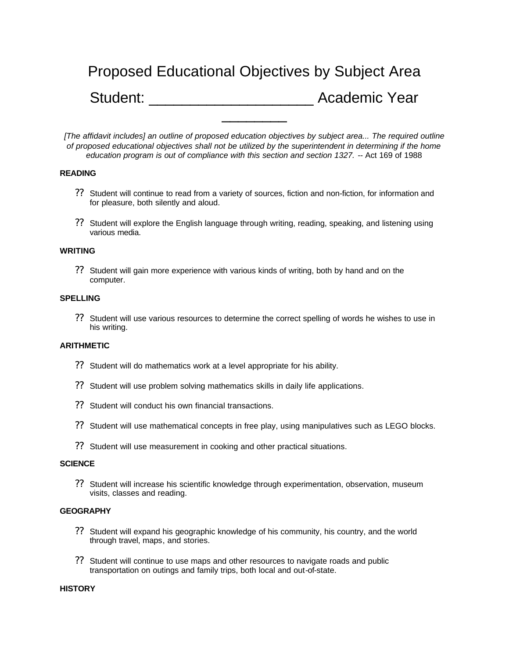# Proposed Educational Objectives by Subject Area Student: **Academic Year** \_\_\_\_\_\_\_\_

*[The affidavit includes] an outline of proposed education objectives by subject area... The required outline of proposed educational objectives shall not be utilized by the superintendent in determining if the home education program is out of compliance with this section and section 1327.* -- Act 169 of 1988

# **READING**

- ?? Student will continue to read from a variety of sources, fiction and non-fiction, for information and for pleasure, both silently and aloud.
- ?? Student will explore the English language through writing, reading, speaking, and listening using various media.

### **WRITING**

?? Student will gain more experience with various kinds of writing, both by hand and on the computer.

#### **SPELLING**

?? Student will use various resources to determine the correct spelling of words he wishes to use in his writing.

# **ARITHMETIC**

- ?? Student will do mathematics work at a level appropriate for his ability.
- ?? Student will use problem solving mathematics skills in daily life applications.
- ?? Student will conduct his own financial transactions.
- ?? Student will use mathematical concepts in free play, using manipulatives such as LEGO blocks.
- ?? Student will use measurement in cooking and other practical situations.

#### **SCIENCE**

?? Student will increase his scientific knowledge through experimentation, observation, museum visits, classes and reading.

### **GEOGRAPHY**

- ?? Student will expand his geographic knowledge of his community, his country, and the world through travel, maps, and stories.
- ?? Student will continue to use maps and other resources to navigate roads and public transportation on outings and family trips, both local and out-of-state.

#### **HISTORY**